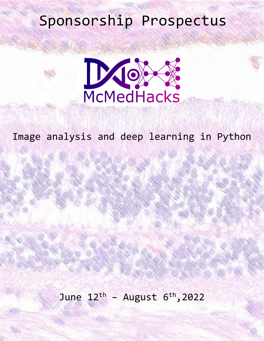# Sponsorship Prospectus



Image analysis and deep learning in Python

June  $12^{th}$  - August  $6^{th}$ , 2022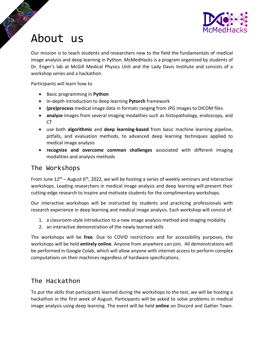

### About us

Our mission is to teach students and researchers new to the field the fundamentals of medical image analysis and deep learning in Python. McMedHacks is a program organized by students of Dr. Enger's lab at McGill Medical Physics Unit and the Lady Davis Institute and consists of a workshop series and a hackathon.

Participants will learn how to

- Basic programming in **Python**
- In-depth introduction to deep learning **Pytorch** framework
- **(pre)process** medical image data in formats ranging from JPG images to DICOM files
- **analyze** images from several imaging modalities such as histopathology, endoscopy, and CT
- use both **algorithmic** and **deep learning-based** from basic machine learning pipeline, pitfalls, and evaluation methods, to advanced deep learning techniques applied to medical image analysis
- **recognize and overcome common challenges** associated with different imaging modalities and analysis methods

#### The Workshops

From June 12<sup>th</sup> – August 6<sup>th</sup>, 2022, we will be hosting a series of weekly seminars and interactive workshops. Leading researchers in medical image analysis and deep learning will present their cutting-edge research to inspire and motivate students for the complimentary workshops.

Our interactive workshops will be instructed by students and practicing professionals with research experience in deep learning and medical image analysis. Each workshop will consist of:

- 1. a classroom-style introduction to a new image analysis method and imaging modality
- 2. an interactive demonstration of the newly learned skills

The workshops will be **free**. Due to COVID restrictions and for accessibility purposes, the workshops will be held **entirely online**. Anyone from anywhere can join. All demonstrations will be performed in Google Colab, which will allow anyone with internet access to perform complex computations on their machines regardless of hardware specifications.

#### The Hackathon

To put the skills that participants learned during the workshops to the test, we will be hosting a hackathon in the first week of August. Participants will be asked to solve problems in medical image analysis using deep learning. The event will be held **online** on Discord and Gather Town.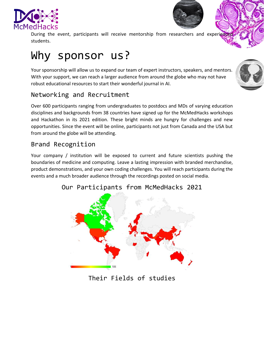



During the event, participants will receive mentorship from researchers and experienced students.

## Why sponsor us?

Your sponsorship will allow us to expand our team of expert instructors, speakers, and mentors. With your support, we can reach a larger audience from around the globe who may not have robust educational resources to start their wonderful journal in AI.

#### Networking and Recruitment

Over 600 participants ranging from undergraduates to postdocs and MDs of varying education disciplines and backgrounds from 38 countries have signed up for the McMedHacks workshops and Hackathon in its 2021 edition. These bright minds are hungry for challenges and new opportunities. Since the event will be online, participants not just from Canada and the USA but from around the globe will be attending.

#### Brand Recognition

Your company / institution will be exposed to current and future scientists pushing the boundaries of medicine and computing. Leave a lasting impression with branded merchandise, product demonstrations, and your own coding challenges. You will reach participants during the events and a much broader audience through the recordings posted on social media.



#### Our Participants from McMedHacks 2021

#### Their Fields of studies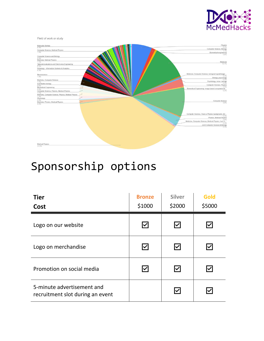

Field of work or study



## Sponsorship options

| <b>Tier</b><br>Cost                                            | <b>Bronze</b><br>\$1000 | <b>Silver</b><br>\$2000               | Gold<br>\$5000         |
|----------------------------------------------------------------|-------------------------|---------------------------------------|------------------------|
| Logo on our website                                            | I∽l                     | $\blacktriangleright$                 | ✓                      |
| Logo on merchandise                                            | $\blacktriangledown$    | $\overline{\smash{\bigtriangledown}}$ | Ⅳ                      |
| Promotion on social media                                      | $\vert\!\vee\!\vert$    | $\blacktriangledown$                  | $\bm{\triangledown}$   |
| 5-minute advertisement and<br>recruitment slot during an event |                         | $\overline{\textbf{}}$                | $\vert\checkmark\vert$ |